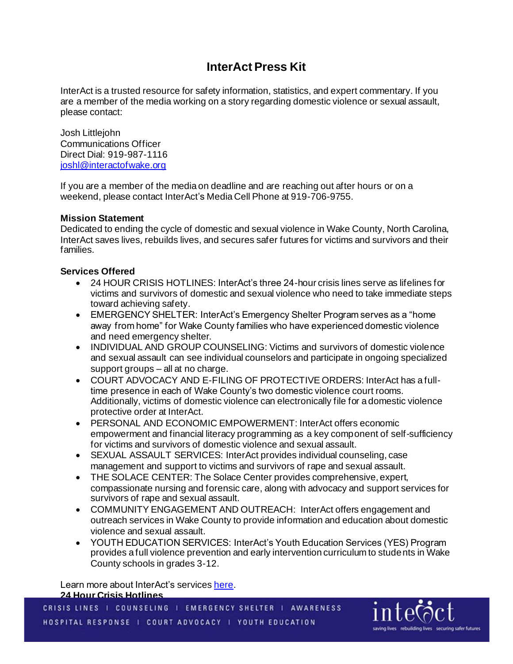# **InterAct Press Kit**

InterAct is a trusted resource for safety information, statistics, and expert commentary. If you are a member of the media working on a story regarding domestic violence or sexual assault, please contact:

Josh Littlejohn Communications Officer Direct Dial: 919-987-1116 [joshl@interactofwake.org](mailto:joshl@interactofwake.org)

If you are a member of the media on deadline and are reaching out after hours or on a weekend, please contact InterAct's Media Cell Phone at 919-706-9755.

## **Mission Statement**

Dedicated to ending the cycle of domestic and sexual violence in Wake County, North Carolina, InterAct saves lives, rebuilds lives, and secures safer futures for victims and survivors and their families.

## **Services Offered**

- 24 HOUR CRISIS HOTLINES: InterAct's three 24-hour crisis lines serve as lifelines for victims and survivors of domestic and sexual violence who need to take immediate steps toward achieving safety.
- EMERGENCY SHELTER: InterAct's Emergency Shelter Program serves as a "home" away from home" for Wake County families who have experienced domestic violence and need emergency shelter.
- INDIVIDUAL AND GROUP COUNSELING: Victims and survivors of domestic violence and sexual assault can see individual counselors and participate in ongoing specialized support groups – all at no charge.
- COURT ADVOCACY AND E-FILING OF PROTECTIVE ORDERS: InterAct has a fulltime presence in each of Wake County's two domestic violence court rooms. Additionally, victims of domestic violence can electronically file for a domestic violence protective order at InterAct.
- PERSONAL AND ECONOMIC EMPOWERMENT: InterAct offers economic empowerment and financial literacy programming as a key component of self-sufficiency for victims and survivors of domestic violence and sexual assault.
- SEXUAL ASSAULT SERVICES: InterAct provides individual counseling, case management and support to victims and survivors of rape and sexual assault.
- THE SOLACE CENTER: The Solace Center provides comprehensive, expert, compassionate nursing and forensic care, along with advocacy and support services for survivors of rape and sexual assault.
- COMMUNITY ENGAGEMENT AND OUTREACH: InterAct offers engagement and outreach services in Wake County to provide information and education about domestic violence and sexual assault.
- YOUTH EDUCATION SERVICES: InterAct's Youth Education Services (YES) Program provides a full violence prevention and early intervention curriculum to students in Wake County schools in grades 3-12.

Learn more about InterAct's service[s here](https://interact.sugarmapleinteractive.com/whatwedo/). **24 Hour Crisis Hotlines**

CRISIS LINES | COUNSELING | EMERGENCY SHELTER | AWARENESS HOSPITAL RESPONSE | COURT ADVOCACY | YOUTH EDUCATION